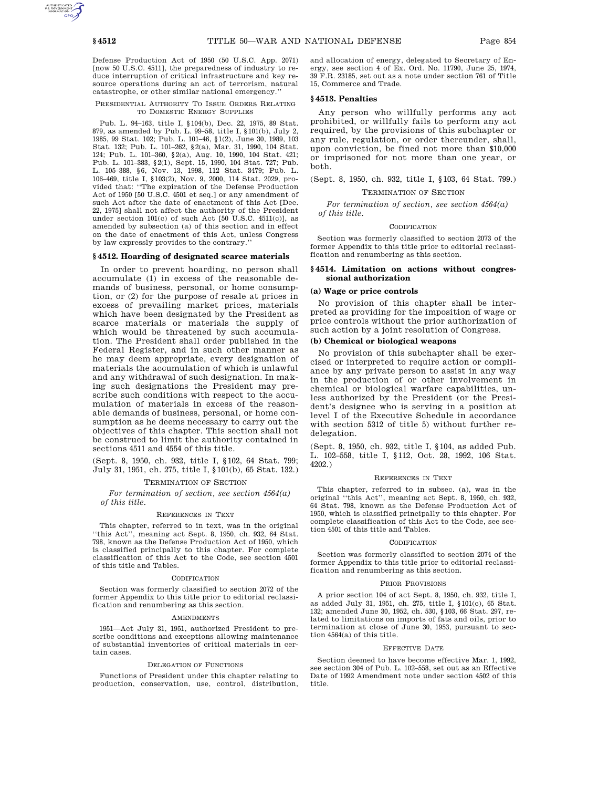Defense Production Act of 1950 (50 U.S.C. App. 2071) [now 50 U.S.C. 4511], the preparedness of industry to reduce interruption of critical infrastructure and key resource operations during an act of terrorism, natural catastrophe, or other similar national emergency.''

### PRESIDENTIAL AUTHORITY TO ISSUE ORDERS RELATING TO DOMESTIC ENERGY SUPPLIES

Pub. L. 94–163, title I, §104(b), Dec. 22, 1975, 89 Stat. 879, as amended by Pub. L. 99–58, title I, §101(b), July 2, 1985, 99 Stat. 102; Pub. L. 101–46, §1(2), June 30, 1989, 103 Stat. 132; Pub. L. 101–262, §2(a), Mar. 31, 1990, 104 Stat. 124; Pub. L. 101–360, §2(a), Aug. 10, 1990, 104 Stat. 421; Pub. L. 101–383, §2(1), Sept. 15, 1990, 104 Stat. 727; Pub. L. 105–388, §6, Nov. 13, 1998, 112 Stat. 3479; Pub. L. 106–469, title I, §103(2), Nov. 9, 2000, 114 Stat. 2029, provided that: ''The expiration of the Defense Production Act of 1950 [50 U.S.C. 4501 et seq.] or any amendment of such Act after the date of enactment of this Act [Dec. 22, 1975] shall not affect the authority of the President under section  $101(c)$  of such Act [50 U.S.C. 4511(c)], as amended by subsection (a) of this section and in effect on the date of enactment of this Act, unless Congress by law expressly provides to the contrary.

## **§ 4512. Hoarding of designated scarce materials**

In order to prevent hoarding, no person shall accumulate (1) in excess of the reasonable demands of business, personal, or home consumption, or (2) for the purpose of resale at prices in excess of prevailing market prices, materials which have been designated by the President as scarce materials or materials the supply of which would be threatened by such accumulation. The President shall order published in the Federal Register, and in such other manner as he may deem appropriate, every designation of materials the accumulation of which is unlawful and any withdrawal of such designation. In making such designations the President may prescribe such conditions with respect to the accumulation of materials in excess of the reasonable demands of business, personal, or home consumption as he deems necessary to carry out the objectives of this chapter. This section shall not be construed to limit the authority contained in sections 4511 and 4554 of this title.

(Sept. 8, 1950, ch. 932, title I, §102, 64 Stat. 799; July 31, 1951, ch. 275, title I, §101(b), 65 Stat. 132.)

## TERMINATION OF SECTION

*For termination of section, see section 4564(a) of this title.*

## REFERENCES IN TEXT

This chapter, referred to in text, was in the original ''this Act'', meaning act Sept. 8, 1950, ch. 932, 64 Stat. 798, known as the Defense Production Act of 1950, which is classified principally to this chapter. For complete classification of this Act to the Code, see section 4501 of this title and Tables.

### **CODIFICATION**

Section was formerly classified to section 2072 of the former Appendix to this title prior to editorial reclassification and renumbering as this section.

### **AMENDMENTS**

1951—Act July 31, 1951, authorized President to prescribe conditions and exceptions allowing maintenance of substantial inventories of critical materials in certain cases.

### DELEGATION OF FUNCTIONS

Functions of President under this chapter relating to production, conservation, use, control, distribution, and allocation of energy, delegated to Secretary of Energy, see section 4 of Ex. Ord. No. 11790, June 25, 1974, 39 F.R. 23185, set out as a note under section 761 of Title 15, Commerce and Trade.

## **§ 4513. Penalties**

Any person who willfully performs any act prohibited, or willfully fails to perform any act required, by the provisions of this subchapter or any rule, regulation, or order thereunder, shall, upon conviction, be fined not more than \$10,000 or imprisoned for not more than one year, or both.

(Sept. 8, 1950, ch. 932, title I, §103, 64 Stat. 799.)

### TERMINATION OF SECTION

*For termination of section, see section 4564(a) of this title.*

### CODIFICATION

Section was formerly classified to section 2073 of the former Appendix to this title prior to editorial reclassification and renumbering as this section.

## **§ 4514. Limitation on actions without congressional authorization**

## **(a) Wage or price controls**

No provision of this chapter shall be interpreted as providing for the imposition of wage or price controls without the prior authorization of such action by a joint resolution of Congress.

## **(b) Chemical or biological weapons**

No provision of this subchapter shall be exercised or interpreted to require action or compliance by any private person to assist in any way in the production of or other involvement in chemical or biological warfare capabilities, unless authorized by the President (or the President's designee who is serving in a position at level I of the Executive Schedule in accordance with section 5312 of title 5) without further redelegation.

(Sept. 8, 1950, ch. 932, title I, §104, as added Pub. L. 102–558, title I, §112, Oct. 28, 1992, 106 Stat. 4202.)

### REFERENCES IN TEXT

This chapter, referred to in subsec. (a), was in the original ''this Act'', meaning act Sept. 8, 1950, ch. 932, 64 Stat. 798, known as the Defense Production Act of 1950, which is classified principally to this chapter. For complete classification of this Act to the Code, see section 4501 of this title and Tables.

### CODIFICATION

Section was formerly classified to section 2074 of the former Appendix to this title prior to editorial reclassification and renumbering as this section.

### PRIOR PROVISIONS

A prior section 104 of act Sept. 8, 1950, ch. 932, title I, as added July 31, 1951, ch. 275, title I, §101(c), 65 Stat. 132; amended June 30, 1952, ch. 530, §103, 66 Stat. 297, related to limitations on imports of fats and oils, prior to termination at close of June 30, 1953, pursuant to section 4564(a) of this title.

### EFFECTIVE DATE

Section deemed to have become effective Mar. 1, 1992, see section 304 of Pub. L. 102–558, set out as an Effective Date of 1992 Amendment note under section 4502 of this title.